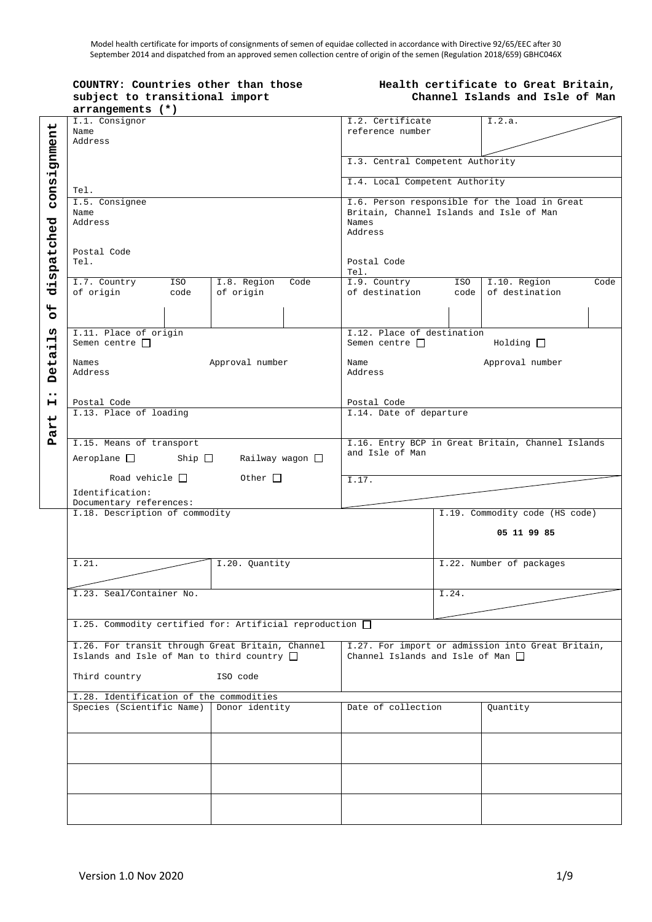Model health certificate for imports of consignments of semen of equidae collected in accordance with Directive 92/65/EEC after 30 September 2014 and dispatched from an approved semen collection centre of origin of the semen (Regulation 2018/659) GBHC046X

#### **COUNTRY: Countries other than those subject to transitional import arrangements (\*)**

#### **Health certificate to Great Britain, Channel Islands and Isle of Man**

|                  | arrangements (")                                                  |                       |                         |                                             |                                                   |                            |                          |  |  |  |  |
|------------------|-------------------------------------------------------------------|-----------------------|-------------------------|---------------------------------------------|---------------------------------------------------|----------------------------|--------------------------|--|--|--|--|
|                  | I.1. Consignor                                                    |                       |                         |                                             | I.2. Certificate                                  |                            | I.2.a.                   |  |  |  |  |
|                  | Name                                                              |                       |                         |                                             | reference number                                  |                            |                          |  |  |  |  |
|                  | Address                                                           |                       |                         |                                             |                                                   |                            |                          |  |  |  |  |
|                  |                                                                   |                       |                         |                                             | I.3. Central Competent Authority                  |                            |                          |  |  |  |  |
|                  |                                                                   |                       |                         |                                             |                                                   |                            |                          |  |  |  |  |
| consignment      | Tel.                                                              |                       |                         | I.4. Local Competent Authority              |                                                   |                            |                          |  |  |  |  |
|                  | I.5. Consignee                                                    |                       |                         |                                             | I.6. Person responsible for the load in Great     |                            |                          |  |  |  |  |
|                  | Name<br>Address                                                   |                       |                         |                                             | Britain, Channel Islands and Isle of Man<br>Names |                            |                          |  |  |  |  |
|                  |                                                                   |                       |                         |                                             | Address                                           |                            |                          |  |  |  |  |
|                  | Postal Code<br>Tel.<br>I.8. Region<br>I.7. Country<br>ISO<br>Code |                       |                         |                                             |                                                   |                            |                          |  |  |  |  |
|                  |                                                                   |                       |                         | Postal Code                                 |                                                   |                            |                          |  |  |  |  |
| dispatched       |                                                                   |                       |                         | Tel.                                        |                                                   |                            |                          |  |  |  |  |
|                  |                                                                   |                       |                         | I.9. Country<br>ISO<br>I.10. Region<br>Code |                                                   |                            |                          |  |  |  |  |
|                  | of origin                                                         | code                  | of origin               |                                             | of destination                                    | code                       | of destination           |  |  |  |  |
| 44               |                                                                   |                       |                         |                                             |                                                   |                            |                          |  |  |  |  |
| $\circ$          |                                                                   |                       |                         |                                             |                                                   |                            |                          |  |  |  |  |
| ທຸ               |                                                                   | I.11. Place of origin |                         |                                             |                                                   | I.12. Place of destination |                          |  |  |  |  |
| 닉                | Semen centre $\Box$                                               |                       |                         |                                             | Semen centre $\square$                            |                            | Holding                  |  |  |  |  |
|                  | Names                                                             |                       | Approval number         |                                             | Name                                              |                            | Approval number          |  |  |  |  |
| Deta             | Address<br>Postal Code                                            |                       |                         | Address                                     |                                                   |                            |                          |  |  |  |  |
| $\bullet\bullet$ |                                                                   |                       |                         |                                             |                                                   |                            |                          |  |  |  |  |
| н                |                                                                   |                       |                         | Postal Code                                 |                                                   |                            |                          |  |  |  |  |
|                  | I.13. Place of loading                                            |                       |                         | I.14. Date of departure                     |                                                   |                            |                          |  |  |  |  |
| art              |                                                                   |                       |                         |                                             |                                                   |                            |                          |  |  |  |  |
| д                | I.15. Means of transport                                          |                       |                         |                                             | I.16. Entry BCP in Great Britain, Channel Islands |                            |                          |  |  |  |  |
|                  | Aeroplane                                                         | Ship $\Box$           | Railway wagon $\square$ |                                             | and Isle of Man                                   |                            |                          |  |  |  |  |
|                  |                                                                   |                       |                         |                                             |                                                   |                            |                          |  |  |  |  |
|                  | Road vehicle $\Box$                                               |                       | Other $\Box$            |                                             | $\overline{1.17}$ .                               |                            |                          |  |  |  |  |
|                  | Identification:<br>Documentary references:                        |                       |                         |                                             |                                                   |                            |                          |  |  |  |  |
|                  | I.18. Description of commodity                                    |                       |                         |                                             | I.19. Commodity code (HS code)                    |                            |                          |  |  |  |  |
|                  |                                                                   |                       |                         |                                             | 05 11 99 85                                       |                            |                          |  |  |  |  |
|                  |                                                                   |                       |                         |                                             |                                                   |                            |                          |  |  |  |  |
|                  |                                                                   |                       |                         |                                             |                                                   |                            |                          |  |  |  |  |
|                  | I.21.                                                             |                       | I.20. Ouantity          |                                             |                                                   |                            | I.22. Number of packages |  |  |  |  |
|                  |                                                                   |                       |                         |                                             |                                                   |                            |                          |  |  |  |  |
|                  | I.23. Seal/Container No.                                          |                       |                         |                                             | I.24.                                             |                            |                          |  |  |  |  |
|                  |                                                                   |                       |                         |                                             |                                                   |                            |                          |  |  |  |  |
|                  | I.25. Commodity certified for: Artificial reproduction $\square$  |                       |                         |                                             |                                                   |                            |                          |  |  |  |  |
|                  | I.26. For transit through Great Britain, Channel                  |                       |                         |                                             | I.27. For import or admission into Great Britain, |                            |                          |  |  |  |  |
|                  | Islands and Isle of Man to third country $\Box$                   |                       |                         |                                             | Channel Islands and Isle of Man $\Box$            |                            |                          |  |  |  |  |
|                  | Third country<br>ISO code                                         |                       |                         |                                             |                                                   |                            |                          |  |  |  |  |
|                  |                                                                   |                       |                         |                                             |                                                   |                            |                          |  |  |  |  |
|                  | I.28. Identification of the commodities                           |                       |                         |                                             |                                                   |                            |                          |  |  |  |  |
|                  | Species (Scientific Name) Donor identity                          |                       |                         | Date of collection                          |                                                   | Quantity                   |                          |  |  |  |  |
|                  |                                                                   |                       |                         |                                             |                                                   |                            |                          |  |  |  |  |
|                  |                                                                   |                       |                         |                                             |                                                   |                            |                          |  |  |  |  |
|                  |                                                                   |                       |                         |                                             |                                                   |                            |                          |  |  |  |  |
|                  |                                                                   |                       |                         |                                             |                                                   |                            |                          |  |  |  |  |
|                  |                                                                   |                       |                         |                                             |                                                   |                            |                          |  |  |  |  |
|                  |                                                                   |                       |                         |                                             |                                                   |                            |                          |  |  |  |  |
|                  |                                                                   |                       |                         |                                             |                                                   |                            |                          |  |  |  |  |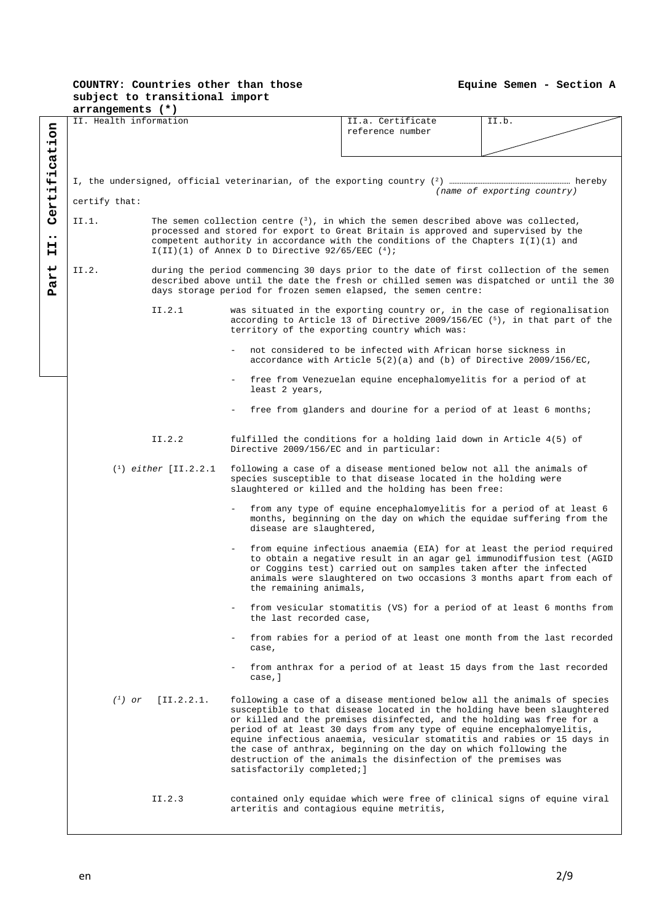**Equine Semen - Section A** 

#### **COUNTRY: Countries other than those subject to transitional import arrangements (\*)**

|                  | ~~~~~~~~~~~~~~~                                                                       |                             |                                                    |                                                                                          |       |  |  |  |  |
|------------------|---------------------------------------------------------------------------------------|-----------------------------|----------------------------------------------------|------------------------------------------------------------------------------------------|-------|--|--|--|--|
|                  | II. Health information                                                                |                             |                                                    | II.a. Certificate                                                                        | II.b. |  |  |  |  |
| nor              |                                                                                       |                             |                                                    | reference number                                                                         |       |  |  |  |  |
|                  |                                                                                       |                             |                                                    |                                                                                          |       |  |  |  |  |
| icat             |                                                                                       |                             |                                                    |                                                                                          |       |  |  |  |  |
|                  |                                                                                       |                             |                                                    |                                                                                          |       |  |  |  |  |
|                  |                                                                                       |                             |                                                    |                                                                                          |       |  |  |  |  |
| Ψİ               |                                                                                       |                             |                                                    |                                                                                          |       |  |  |  |  |
|                  |                                                                                       | (name of exporting country) |                                                    |                                                                                          |       |  |  |  |  |
|                  | certify that:                                                                         |                             |                                                    |                                                                                          |       |  |  |  |  |
| Certi            | The semen collection centre $(3)$ , in which the semen described above was collected, |                             |                                                    |                                                                                          |       |  |  |  |  |
|                  | II.1.                                                                                 |                             |                                                    |                                                                                          |       |  |  |  |  |
| $\bullet\bullet$ |                                                                                       |                             |                                                    | processed and stored for export to Great Britain is approved and supervised by the       |       |  |  |  |  |
| н                |                                                                                       |                             |                                                    | competent authority in accordance with the conditions of the Chapters $I(I)(1)$ and      |       |  |  |  |  |
| н                |                                                                                       |                             | I(II)(1) of Annex D to Directive 92/65/EEC $(4)$ ; |                                                                                          |       |  |  |  |  |
|                  |                                                                                       |                             |                                                    |                                                                                          |       |  |  |  |  |
| art              | II.2.                                                                                 |                             |                                                    | during the period commencing 30 days prior to the date of first collection of the semen  |       |  |  |  |  |
|                  |                                                                                       |                             |                                                    | described above until the date the fresh or chilled semen was dispatched or until the 30 |       |  |  |  |  |
| д                |                                                                                       |                             |                                                    | days storage period for frozen semen elapsed, the semen centre:                          |       |  |  |  |  |
|                  |                                                                                       |                             |                                                    |                                                                                          |       |  |  |  |  |
|                  |                                                                                       | II.2.1                      |                                                    | was situated in the exporting country or, in the case of regionalisation                 |       |  |  |  |  |
|                  |                                                                                       |                             |                                                    | according to Article 13 of Directive 2009/156/EC $(5)$ , in that part of the             |       |  |  |  |  |
|                  |                                                                                       |                             |                                                    | territory of the exporting country which was:                                            |       |  |  |  |  |
|                  |                                                                                       |                             |                                                    | not considered to be infected with African horse sickness in                             |       |  |  |  |  |
|                  |                                                                                       |                             |                                                    |                                                                                          |       |  |  |  |  |
|                  |                                                                                       |                             |                                                    | accordance with Article $5(2)(a)$ and (b) of Directive 2009/156/EC,                      |       |  |  |  |  |
|                  |                                                                                       |                             |                                                    | free from Venezuelan equine encephalomyelitis for a period of at                         |       |  |  |  |  |
|                  |                                                                                       |                             | least 2 years,                                     |                                                                                          |       |  |  |  |  |
|                  |                                                                                       |                             |                                                    |                                                                                          |       |  |  |  |  |
|                  |                                                                                       |                             |                                                    | free from glanders and dourine for a period of at least 6 months;                        |       |  |  |  |  |
|                  |                                                                                       |                             |                                                    |                                                                                          |       |  |  |  |  |
|                  |                                                                                       |                             |                                                    |                                                                                          |       |  |  |  |  |
|                  |                                                                                       | II.2.2                      |                                                    | fulfilled the conditions for a holding laid down in Article 4(5) of                      |       |  |  |  |  |
|                  |                                                                                       |                             | Directive 2009/156/EC and in particular:           |                                                                                          |       |  |  |  |  |
|                  |                                                                                       |                             |                                                    |                                                                                          |       |  |  |  |  |
|                  |                                                                                       | $(1)$ either [II.2.2.1]     |                                                    | following a case of a disease mentioned below not all the animals of                     |       |  |  |  |  |
|                  |                                                                                       |                             |                                                    | species susceptible to that disease located in the holding were                          |       |  |  |  |  |
|                  |                                                                                       |                             |                                                    | slaughtered or killed and the holding has been free:                                     |       |  |  |  |  |
|                  |                                                                                       |                             |                                                    |                                                                                          |       |  |  |  |  |
|                  |                                                                                       |                             |                                                    | from any type of equine encephalomyelitis for a period of at least 6                     |       |  |  |  |  |
|                  |                                                                                       |                             |                                                    | months, beginning on the day on which the equidae suffering from the                     |       |  |  |  |  |
|                  |                                                                                       |                             | disease are slaughtered,                           |                                                                                          |       |  |  |  |  |
|                  |                                                                                       |                             |                                                    |                                                                                          |       |  |  |  |  |
|                  |                                                                                       |                             |                                                    | from equine infectious anaemia (EIA) for at least the period required                    |       |  |  |  |  |
|                  |                                                                                       |                             |                                                    | to obtain a negative result in an agar gel immunodiffusion test (AGID                    |       |  |  |  |  |
|                  |                                                                                       |                             |                                                    | or Coggins test) carried out on samples taken after the infected                         |       |  |  |  |  |
|                  |                                                                                       |                             |                                                    | animals were slaughtered on two occasions 3 months apart from each of                    |       |  |  |  |  |
|                  |                                                                                       |                             | the remaining animals,                             |                                                                                          |       |  |  |  |  |
|                  |                                                                                       |                             |                                                    |                                                                                          |       |  |  |  |  |
|                  |                                                                                       |                             | the last recorded case,                            | from vesicular stomatitis (VS) for a period of at least 6 months from                    |       |  |  |  |  |
|                  |                                                                                       |                             |                                                    |                                                                                          |       |  |  |  |  |
|                  |                                                                                       |                             |                                                    | from rabies for a period of at least one month from the last recorded                    |       |  |  |  |  |
|                  |                                                                                       |                             |                                                    |                                                                                          |       |  |  |  |  |
|                  |                                                                                       |                             | case,                                              |                                                                                          |       |  |  |  |  |
|                  |                                                                                       |                             |                                                    | from anthrax for a period of at least 15 days from the last recorded                     |       |  |  |  |  |
|                  |                                                                                       |                             | case, ]                                            |                                                                                          |       |  |  |  |  |
|                  |                                                                                       |                             |                                                    |                                                                                          |       |  |  |  |  |
|                  | $(1)$ or                                                                              | [II.2.2.1]                  |                                                    | following a case of a disease mentioned below all the animals of species                 |       |  |  |  |  |
|                  |                                                                                       |                             |                                                    | susceptible to that disease located in the holding have been slaughtered                 |       |  |  |  |  |
|                  |                                                                                       |                             |                                                    | or killed and the premises disinfected, and the holding was free for a                   |       |  |  |  |  |
|                  |                                                                                       |                             |                                                    | period of at least 30 days from any type of equine encephalomyelitis,                    |       |  |  |  |  |
|                  |                                                                                       |                             |                                                    | equine infectious anaemia, vesicular stomatitis and rabies or 15 days in                 |       |  |  |  |  |
|                  |                                                                                       |                             |                                                    | the case of anthrax, beginning on the day on which following the                         |       |  |  |  |  |
|                  |                                                                                       |                             |                                                    |                                                                                          |       |  |  |  |  |
|                  |                                                                                       |                             | satisfactorily completed; ]                        | destruction of the animals the disinfection of the premises was                          |       |  |  |  |  |
|                  |                                                                                       |                             |                                                    |                                                                                          |       |  |  |  |  |
|                  |                                                                                       |                             |                                                    |                                                                                          |       |  |  |  |  |
|                  |                                                                                       | II.2.3                      |                                                    | contained only equidae which were free of clinical signs of equine viral                 |       |  |  |  |  |
|                  |                                                                                       |                             | arteritis and contagious equine metritis,          |                                                                                          |       |  |  |  |  |
|                  |                                                                                       |                             |                                                    |                                                                                          |       |  |  |  |  |
|                  |                                                                                       |                             |                                                    |                                                                                          |       |  |  |  |  |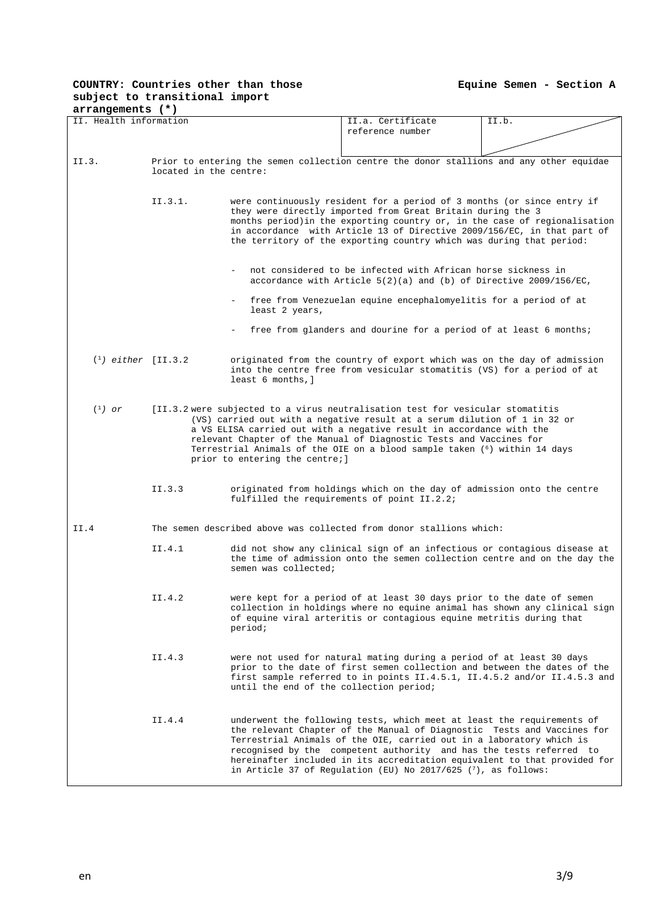**Equine Semen - Section A** 

#### **COUNTRY: Countries other than those subject to transitional import arrangements (\*)**

| II. Health information |                        |                                         | II.a. Certificate                                                                                                                                  | II.b. |  |  |  |
|------------------------|------------------------|-----------------------------------------|----------------------------------------------------------------------------------------------------------------------------------------------------|-------|--|--|--|
|                        |                        |                                         | reference number                                                                                                                                   |       |  |  |  |
|                        |                        |                                         |                                                                                                                                                    |       |  |  |  |
|                        |                        |                                         |                                                                                                                                                    |       |  |  |  |
| II.3.                  | located in the centre: |                                         | Prior to entering the semen collection centre the donor stallions and any other equidae                                                            |       |  |  |  |
|                        |                        |                                         |                                                                                                                                                    |       |  |  |  |
|                        |                        |                                         |                                                                                                                                                    |       |  |  |  |
|                        | II.3.1.                |                                         | were continuously resident for a period of 3 months (or since entry if<br>they were directly imported from Great Britain during the 3              |       |  |  |  |
|                        |                        |                                         | months period) in the exporting country or, in the case of regionalisation                                                                         |       |  |  |  |
|                        |                        |                                         | in accordance with Article 13 of Directive 2009/156/EC, in that part of                                                                            |       |  |  |  |
|                        |                        |                                         | the territory of the exporting country which was during that period:                                                                               |       |  |  |  |
|                        |                        |                                         |                                                                                                                                                    |       |  |  |  |
|                        |                        |                                         | not considered to be infected with African horse sickness in                                                                                       |       |  |  |  |
|                        |                        |                                         | accordance with Article $5(2)(a)$ and (b) of Directive 2009/156/EC,                                                                                |       |  |  |  |
|                        |                        |                                         |                                                                                                                                                    |       |  |  |  |
|                        |                        | least 2 years,                          | free from Venezuelan equine encephalomyelitis for a period of at                                                                                   |       |  |  |  |
|                        |                        |                                         | free from glanders and dourine for a period of at least 6 months;                                                                                  |       |  |  |  |
|                        |                        |                                         |                                                                                                                                                    |       |  |  |  |
| $(1)$ either [II.3.2]  |                        |                                         | originated from the country of export which was on the day of admission                                                                            |       |  |  |  |
|                        |                        |                                         | into the centre free from vesicular stomatitis (VS) for a period of at                                                                             |       |  |  |  |
|                        |                        | least 6 months, ]                       |                                                                                                                                                    |       |  |  |  |
|                        |                        |                                         |                                                                                                                                                    |       |  |  |  |
| $(^1)$ or              |                        |                                         | [II.3.2 were subjected to a virus neutralisation test for vesicular stomatitis                                                                     |       |  |  |  |
|                        |                        |                                         | (VS) carried out with a negative result at a serum dilution of 1 in 32 or                                                                          |       |  |  |  |
|                        |                        |                                         | a VS ELISA carried out with a negative result in accordance with the<br>relevant Chapter of the Manual of Diagnostic Tests and Vaccines for        |       |  |  |  |
|                        |                        |                                         | Terrestrial Animals of the OIE on a blood sample taken ( <sup>6</sup> ) within 14 days                                                             |       |  |  |  |
|                        |                        | prior to entering the centre; ]         |                                                                                                                                                    |       |  |  |  |
|                        |                        |                                         |                                                                                                                                                    |       |  |  |  |
|                        | II.3.3                 |                                         | originated from holdings which on the day of admission onto the centre                                                                             |       |  |  |  |
|                        |                        |                                         | fulfilled the requirements of point II.2.2;                                                                                                        |       |  |  |  |
|                        |                        |                                         |                                                                                                                                                    |       |  |  |  |
| II.4                   |                        |                                         | The semen described above was collected from donor stallions which:                                                                                |       |  |  |  |
|                        |                        |                                         |                                                                                                                                                    |       |  |  |  |
|                        | II.4.1                 |                                         | did not show any clinical sign of an infectious or contagious disease at                                                                           |       |  |  |  |
|                        |                        | semen was collected;                    | the time of admission onto the semen collection centre and on the day the                                                                          |       |  |  |  |
|                        |                        |                                         |                                                                                                                                                    |       |  |  |  |
|                        |                        |                                         |                                                                                                                                                    |       |  |  |  |
|                        | II.4.2                 |                                         | were kept for a period of at least 30 days prior to the date of semen<br>collection in holdings where no equine animal has shown any clinical sign |       |  |  |  |
|                        |                        |                                         | of equine viral arteritis or contagious equine metritis during that                                                                                |       |  |  |  |
|                        |                        | period;                                 |                                                                                                                                                    |       |  |  |  |
|                        |                        |                                         |                                                                                                                                                    |       |  |  |  |
|                        | II.4.3                 |                                         | were not used for natural mating during a period of at least 30 days                                                                               |       |  |  |  |
|                        |                        |                                         | prior to the date of first semen collection and between the dates of the                                                                           |       |  |  |  |
|                        |                        |                                         | first sample referred to in points II.4.5.1, II.4.5.2 and/or II.4.5.3 and                                                                          |       |  |  |  |
|                        |                        | until the end of the collection period; |                                                                                                                                                    |       |  |  |  |
|                        |                        |                                         |                                                                                                                                                    |       |  |  |  |
|                        | II.4.4                 |                                         | underwent the following tests, which meet at least the requirements of                                                                             |       |  |  |  |
|                        |                        |                                         | the relevant Chapter of the Manual of Diagnostic Tests and Vaccines for                                                                            |       |  |  |  |
|                        |                        |                                         | Terrestrial Animals of the OIE, carried out in a laboratory which is                                                                               |       |  |  |  |
|                        |                        |                                         | recognised by the competent authority and has the tests referred to<br>hereinafter included in its accreditation equivalent to that provided for   |       |  |  |  |
|                        |                        |                                         | in Article 37 of Regulation (EU) No 2017/625 $(7)$ , as follows:                                                                                   |       |  |  |  |
|                        |                        |                                         |                                                                                                                                                    |       |  |  |  |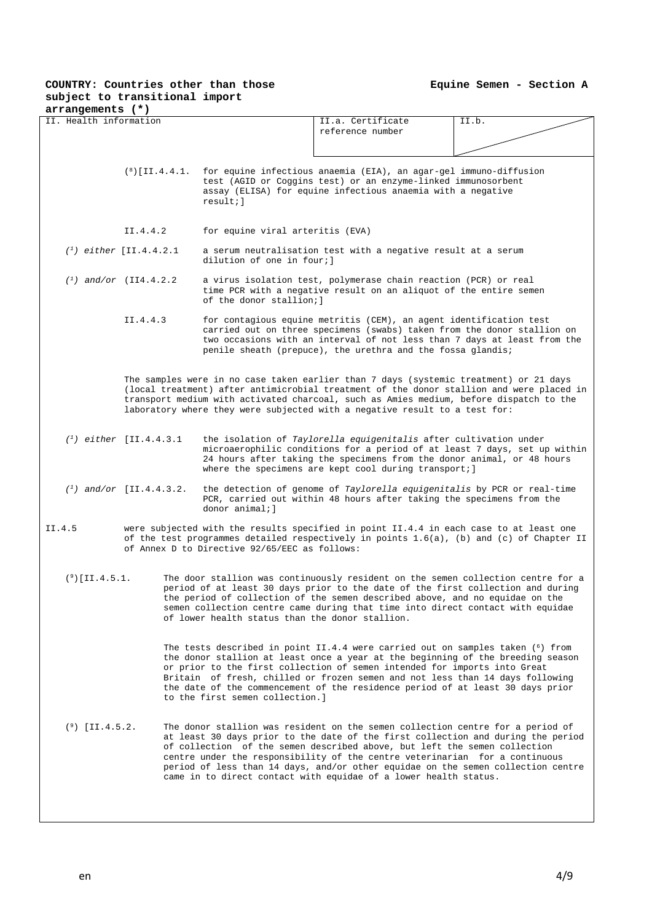| arrangements (*)          |                             |                                                                                                                                                                                                                                                                                                                                                                                          |                                                                                                                                                                                                                                                                                                                                                                                                                                                                                        |       |  |  |  |  |
|---------------------------|-----------------------------|------------------------------------------------------------------------------------------------------------------------------------------------------------------------------------------------------------------------------------------------------------------------------------------------------------------------------------------------------------------------------------------|----------------------------------------------------------------------------------------------------------------------------------------------------------------------------------------------------------------------------------------------------------------------------------------------------------------------------------------------------------------------------------------------------------------------------------------------------------------------------------------|-------|--|--|--|--|
| II. Health information    |                             |                                                                                                                                                                                                                                                                                                                                                                                          | II.a. Certificate                                                                                                                                                                                                                                                                                                                                                                                                                                                                      | II.b. |  |  |  |  |
|                           |                             |                                                                                                                                                                                                                                                                                                                                                                                          | reference number                                                                                                                                                                                                                                                                                                                                                                                                                                                                       |       |  |  |  |  |
|                           |                             |                                                                                                                                                                                                                                                                                                                                                                                          |                                                                                                                                                                                                                                                                                                                                                                                                                                                                                        |       |  |  |  |  |
|                           | $(8)$ [II.4.4.1.            | $result:$ ]                                                                                                                                                                                                                                                                                                                                                                              | for equine infectious anaemia (EIA), an agar-gel immuno-diffusion<br>test (AGID or Coggins test) or an enzyme-linked immunosorbent<br>assay (ELISA) for equine infectious anaemia with a negative                                                                                                                                                                                                                                                                                      |       |  |  |  |  |
|                           | II.4.4.2                    | for equine viral arteritis (EVA)                                                                                                                                                                                                                                                                                                                                                         |                                                                                                                                                                                                                                                                                                                                                                                                                                                                                        |       |  |  |  |  |
|                           | $(1)$ either [II.4.4.2.1]   | a serum neutralisation test with a negative result at a serum<br>dilution of one in four; I                                                                                                                                                                                                                                                                                              |                                                                                                                                                                                                                                                                                                                                                                                                                                                                                        |       |  |  |  |  |
|                           | $(1)$ and/or $(III4.4.2.2)$ | a virus isolation test, polymerase chain reaction (PCR) or real<br>time PCR with a negative result on an aliquot of the entire semen<br>of the donor stallion; I                                                                                                                                                                                                                         |                                                                                                                                                                                                                                                                                                                                                                                                                                                                                        |       |  |  |  |  |
|                           | II.4.4.3                    | for contagious equine metritis (CEM), an agent identification test<br>carried out on three specimens (swabs) taken from the donor stallion on<br>two occasions with an interval of not less than 7 days at least from the<br>penile sheath (prepuce), the urethra and the fossa glandis;                                                                                                 |                                                                                                                                                                                                                                                                                                                                                                                                                                                                                        |       |  |  |  |  |
|                           |                             |                                                                                                                                                                                                                                                                                                                                                                                          | The samples were in no case taken earlier than 7 days (systemic treatment) or 21 days<br>(local treatment) after antimicrobial treatment of the donor stallion and were placed in<br>transport medium with activated charcoal, such as Amies medium, before dispatch to the<br>laboratory where they were subjected with a negative result to a test for:                                                                                                                              |       |  |  |  |  |
| $(1)$ either [II.4.4.3.1] |                             |                                                                                                                                                                                                                                                                                                                                                                                          | the isolation of Taylorella equigenitalis after cultivation under<br>microaerophilic conditions for a period of at least 7 days, set up within<br>24 hours after taking the specimens from the donor animal, or 48 hours<br>where the specimens are kept cool during transport; $]$                                                                                                                                                                                                    |       |  |  |  |  |
|                           | $(1)$ and/or [II.4.4.3.2.]  | donor animal:l                                                                                                                                                                                                                                                                                                                                                                           | the detection of genome of Taylorella equigenitalis by PCR or real-time<br>PCR, carried out within 48 hours after taking the specimens from the                                                                                                                                                                                                                                                                                                                                        |       |  |  |  |  |
| II.4.5                    |                             | of Annex D to Directive 92/65/EEC as follows:                                                                                                                                                                                                                                                                                                                                            | were subjected with the results specified in point II.4.4 in each case to at least one<br>of the test programmes detailed respectively in points $1.6(a)$ , (b) and (c) of Chapter II                                                                                                                                                                                                                                                                                                  |       |  |  |  |  |
| $(9)$ [II.4.5.1.          |                             | The door stallion was continuously resident on the semen collection centre for a<br>period of at least 30 days prior to the date of the first collection and during<br>the period of collection of the semen described above, and no equidae on the<br>semen collection centre came during that time into direct contact with equidae<br>of lower health status than the donor stallion. |                                                                                                                                                                                                                                                                                                                                                                                                                                                                                        |       |  |  |  |  |
|                           |                             | to the first semen collection.]                                                                                                                                                                                                                                                                                                                                                          | The tests described in point II.4.4 were carried out on samples taken $(6)$ from<br>the donor stallion at least once a year at the beginning of the breeding season<br>or prior to the first collection of semen intended for imports into Great<br>Britain of fresh, chilled or frozen semen and not less than 14 days following<br>the date of the commencement of the residence period of at least 30 days prior                                                                    |       |  |  |  |  |
| $(9)$ [II.4.5.2.          |                             |                                                                                                                                                                                                                                                                                                                                                                                          | The donor stallion was resident on the semen collection centre for a period of<br>at least 30 days prior to the date of the first collection and during the period<br>of collection of the semen described above, but left the semen collection<br>centre under the responsibility of the centre veterinarian for a continuous<br>period of less than 14 days, and/or other equidae on the semen collection centre<br>came in to direct contact with equidae of a lower health status. |       |  |  |  |  |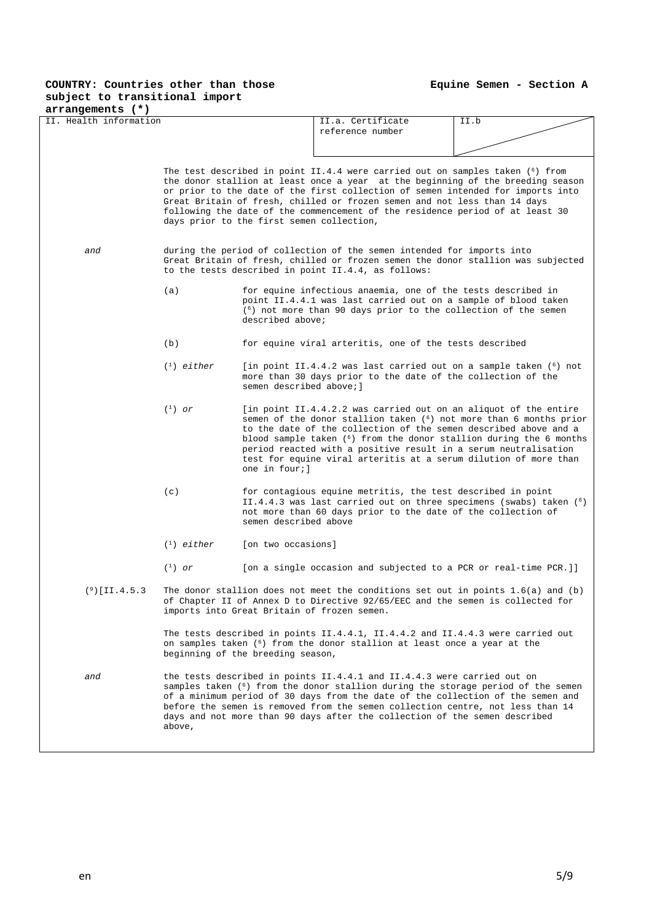| arrangements (*)                                              |                                                                                                                                                                                                                     |                                                                                                                                                                                                                                                                                                                                                                                                                |                                                                                                                                                                                                                                                                                                                                  |                                                                                                                                                         |  |  |  |
|---------------------------------------------------------------|---------------------------------------------------------------------------------------------------------------------------------------------------------------------------------------------------------------------|----------------------------------------------------------------------------------------------------------------------------------------------------------------------------------------------------------------------------------------------------------------------------------------------------------------------------------------------------------------------------------------------------------------|----------------------------------------------------------------------------------------------------------------------------------------------------------------------------------------------------------------------------------------------------------------------------------------------------------------------------------|---------------------------------------------------------------------------------------------------------------------------------------------------------|--|--|--|
| II. Health information                                        |                                                                                                                                                                                                                     |                                                                                                                                                                                                                                                                                                                                                                                                                | II.a. Certificate<br>reference number                                                                                                                                                                                                                                                                                            | II.b                                                                                                                                                    |  |  |  |
|                                                               |                                                                                                                                                                                                                     |                                                                                                                                                                                                                                                                                                                                                                                                                |                                                                                                                                                                                                                                                                                                                                  |                                                                                                                                                         |  |  |  |
|                                                               |                                                                                                                                                                                                                     | days prior to the first semen collection,                                                                                                                                                                                                                                                                                                                                                                      | The test described in point II.4.4 were carried out on samples taken $(6)$ from<br>or prior to the date of the first collection of semen intended for imports into<br>Great Britain of fresh, chilled or frozen semen and not less than 14 days<br>following the date of the commencement of the residence period of at least 30 | the donor stallion at least once a year at the beginning of the breeding season                                                                         |  |  |  |
| and                                                           | during the period of collection of the semen intended for imports into<br>Great Britain of fresh, chilled or frozen semen the donor stallion was subjected<br>to the tests described in point II.4.4, as follows:   |                                                                                                                                                                                                                                                                                                                                                                                                                |                                                                                                                                                                                                                                                                                                                                  |                                                                                                                                                         |  |  |  |
|                                                               | (a)                                                                                                                                                                                                                 | described above;                                                                                                                                                                                                                                                                                                                                                                                               | for equine infectious anaemia, one of the tests described in<br>point II.4.4.1 was last carried out on a sample of blood taken<br>$(6)$ not more than 90 days prior to the collection of the semen                                                                                                                               |                                                                                                                                                         |  |  |  |
| (b)<br>for equine viral arteritis, one of the tests described |                                                                                                                                                                                                                     |                                                                                                                                                                                                                                                                                                                                                                                                                |                                                                                                                                                                                                                                                                                                                                  |                                                                                                                                                         |  |  |  |
| $(1)$ either                                                  |                                                                                                                                                                                                                     |                                                                                                                                                                                                                                                                                                                                                                                                                | [in point II.4.4.2 was last carried out on a sample taken $(6)$ not<br>more than 30 days prior to the date of the collection of the<br>semen described above; 1                                                                                                                                                                  |                                                                                                                                                         |  |  |  |
|                                                               | $(^1)$ or                                                                                                                                                                                                           | one in four;]                                                                                                                                                                                                                                                                                                                                                                                                  | [in point II.4.4.2.2 was carried out on an aliquot of the entire<br>to the date of the collection of the semen described above and a<br>period reacted with a positive result in a serum neutralisation<br>test for equine viral arteritis at a serum dilution of more than                                                      | semen of the donor stallion taken $(6)$ not more than 6 months prior<br>blood sample taken ( <sup>6</sup> ) from the donor stallion during the 6 months |  |  |  |
|                                                               | (c)                                                                                                                                                                                                                 | for contagious equine metritis, the test described in point<br>II.4.4.3 was last carried out on three specimens (swabs) taken $(6)$<br>not more than 60 days prior to the date of the collection of<br>semen described above                                                                                                                                                                                   |                                                                                                                                                                                                                                                                                                                                  |                                                                                                                                                         |  |  |  |
|                                                               | $\binom{1}{1}$ either                                                                                                                                                                                               | [on two occasions]                                                                                                                                                                                                                                                                                                                                                                                             |                                                                                                                                                                                                                                                                                                                                  |                                                                                                                                                         |  |  |  |
|                                                               | $(^1)$ or                                                                                                                                                                                                           |                                                                                                                                                                                                                                                                                                                                                                                                                | [on a single occasion and subjected to a PCR or real-time PCR.]]                                                                                                                                                                                                                                                                 |                                                                                                                                                         |  |  |  |
| $(9)$ [II.4.5.3                                               | The donor stallion does not meet the conditions set out in points $1.6(a)$ and (b)<br>of Chapter II of Annex D to Directive 92/65/EEC and the semen is collected for<br>imports into Great Britain of frozen semen. |                                                                                                                                                                                                                                                                                                                                                                                                                |                                                                                                                                                                                                                                                                                                                                  |                                                                                                                                                         |  |  |  |
|                                                               |                                                                                                                                                                                                                     | beginning of the breeding season,                                                                                                                                                                                                                                                                                                                                                                              | The tests described in points II.4.4.1, II.4.4.2 and II.4.4.3 were carried out<br>on samples taken ( <sup>6</sup> ) from the donor stallion at least once a year at the                                                                                                                                                          |                                                                                                                                                         |  |  |  |
| and                                                           | above,                                                                                                                                                                                                              | the tests described in points II.4.4.1 and II.4.4.3 were carried out on<br>samples taken (6) from the donor stallion during the storage period of the semen<br>of a minimum period of 30 days from the date of the collection of the semen and<br>before the semen is removed from the semen collection centre, not less than 14<br>days and not more than 90 days after the collection of the semen described |                                                                                                                                                                                                                                                                                                                                  |                                                                                                                                                         |  |  |  |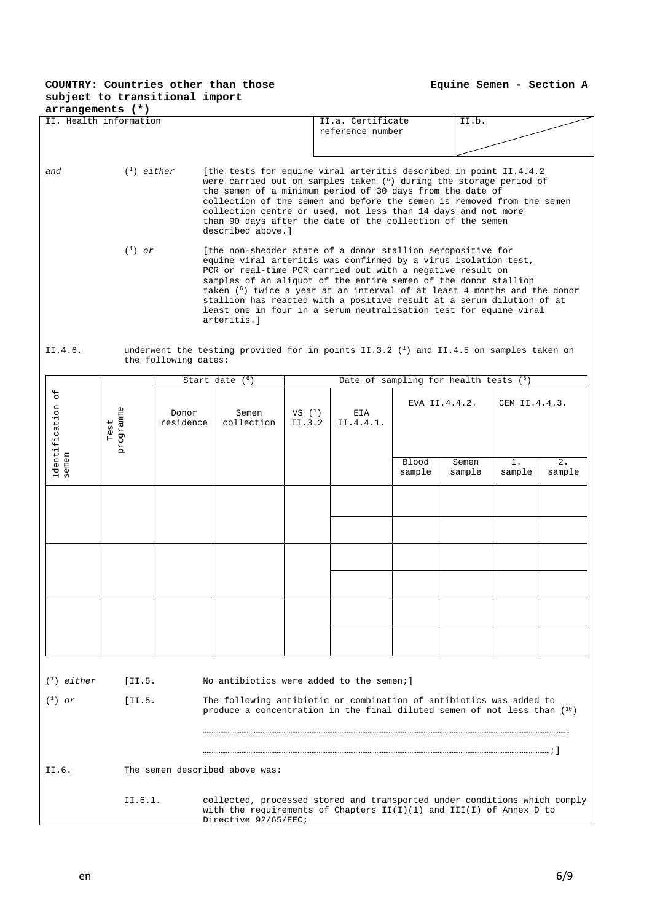**Equine Semen - Section A** 

| $arrangements$ $(*)$       |                                                                                                                                                                                                                                                                                                                                                                                                                                                                                                                       |                      |                                                                                                                                                   |                     |                                                                                                                                                                                                                                                                                                                                                                                                                 |                                |                 |                 |              |  |
|----------------------------|-----------------------------------------------------------------------------------------------------------------------------------------------------------------------------------------------------------------------------------------------------------------------------------------------------------------------------------------------------------------------------------------------------------------------------------------------------------------------------------------------------------------------|----------------------|---------------------------------------------------------------------------------------------------------------------------------------------------|---------------------|-----------------------------------------------------------------------------------------------------------------------------------------------------------------------------------------------------------------------------------------------------------------------------------------------------------------------------------------------------------------------------------------------------------------|--------------------------------|-----------------|-----------------|--------------|--|
|                            | II. Health information                                                                                                                                                                                                                                                                                                                                                                                                                                                                                                |                      |                                                                                                                                                   |                     | II.a. Certificate<br>reference number                                                                                                                                                                                                                                                                                                                                                                           |                                | II.b.           |                 |              |  |
| and                        | $(1)$ either<br>described above.]<br>$\binom{1}{1}$ or                                                                                                                                                                                                                                                                                                                                                                                                                                                                |                      |                                                                                                                                                   |                     | [the tests for equine viral arteritis described in point II.4.4.2<br>were carried out on samples taken $(6)$ during the storage period of<br>the semen of a minimum period of 30 days from the date of<br>collection of the semen and before the semen is removed from the semen<br>collection centre or used, not less than 14 days and not more<br>than 90 days after the date of the collection of the semen |                                |                 |                 |              |  |
|                            | [the non-shedder state of a donor stallion seropositive for<br>equine viral arteritis was confirmed by a virus isolation test,<br>PCR or real-time PCR carried out with a negative result on<br>samples of an aliquot of the entire semen of the donor stallion<br>taken ( <sup>6</sup> ) twice a year at an interval of at least 4 months and the donor<br>stallion has reacted with a positive result at a serum dilution of at<br>least one in four in a serum neutralisation test for equine viral<br>arteritis.l |                      |                                                                                                                                                   |                     |                                                                                                                                                                                                                                                                                                                                                                                                                 |                                |                 |                 |              |  |
| II.4.6.                    |                                                                                                                                                                                                                                                                                                                                                                                                                                                                                                                       | the following dates: | underwent the testing provided for in points II.3.2 $(1)$ and II.4.5 on samples taken on                                                          |                     |                                                                                                                                                                                                                                                                                                                                                                                                                 |                                |                 |                 |              |  |
|                            |                                                                                                                                                                                                                                                                                                                                                                                                                                                                                                                       |                      | Start date $(6)$                                                                                                                                  |                     | Date of sampling for health tests (6)                                                                                                                                                                                                                                                                                                                                                                           |                                |                 |                 |              |  |
| Identification of<br>semen | programme<br>Test                                                                                                                                                                                                                                                                                                                                                                                                                                                                                                     | Donor<br>residence   | Semen<br>collection                                                                                                                               | VS $(^1)$<br>II.3.2 | EIA<br>II.4.4.1.                                                                                                                                                                                                                                                                                                                                                                                                | EVA II.4.4.2.<br>CEM II.4.4.3. |                 |                 |              |  |
|                            |                                                                                                                                                                                                                                                                                                                                                                                                                                                                                                                       |                      |                                                                                                                                                   |                     |                                                                                                                                                                                                                                                                                                                                                                                                                 | Blood<br>sample                | Semen<br>sample | $1$ .<br>sample | 2.<br>sample |  |
|                            |                                                                                                                                                                                                                                                                                                                                                                                                                                                                                                                       |                      |                                                                                                                                                   |                     |                                                                                                                                                                                                                                                                                                                                                                                                                 |                                |                 |                 |              |  |
|                            |                                                                                                                                                                                                                                                                                                                                                                                                                                                                                                                       |                      |                                                                                                                                                   |                     |                                                                                                                                                                                                                                                                                                                                                                                                                 |                                |                 |                 |              |  |
|                            |                                                                                                                                                                                                                                                                                                                                                                                                                                                                                                                       |                      |                                                                                                                                                   |                     |                                                                                                                                                                                                                                                                                                                                                                                                                 |                                |                 |                 |              |  |
|                            |                                                                                                                                                                                                                                                                                                                                                                                                                                                                                                                       |                      |                                                                                                                                                   |                     |                                                                                                                                                                                                                                                                                                                                                                                                                 |                                |                 |                 |              |  |
| $(1)$ either               | [II.5]                                                                                                                                                                                                                                                                                                                                                                                                                                                                                                                |                      | No antibiotics were added to the semen; ]                                                                                                         |                     |                                                                                                                                                                                                                                                                                                                                                                                                                 |                                |                 |                 |              |  |
| $(1)$ or                   | [II.5]                                                                                                                                                                                                                                                                                                                                                                                                                                                                                                                |                      | The following antibiotic or combination of antibiotics was added to<br>produce a concentration in the final diluted semen of not less than $(10)$ |                     |                                                                                                                                                                                                                                                                                                                                                                                                                 |                                |                 |                 |              |  |
|                            |                                                                                                                                                                                                                                                                                                                                                                                                                                                                                                                       |                      |                                                                                                                                                   |                     |                                                                                                                                                                                                                                                                                                                                                                                                                 |                                |                 |                 |              |  |

II.6. The semen described above was:

II.6.1. collected, processed stored and transported under conditions which comply with the requirements of Chapters II(I)(1) and III(I) of Annex D to Directive 92/65/EEC;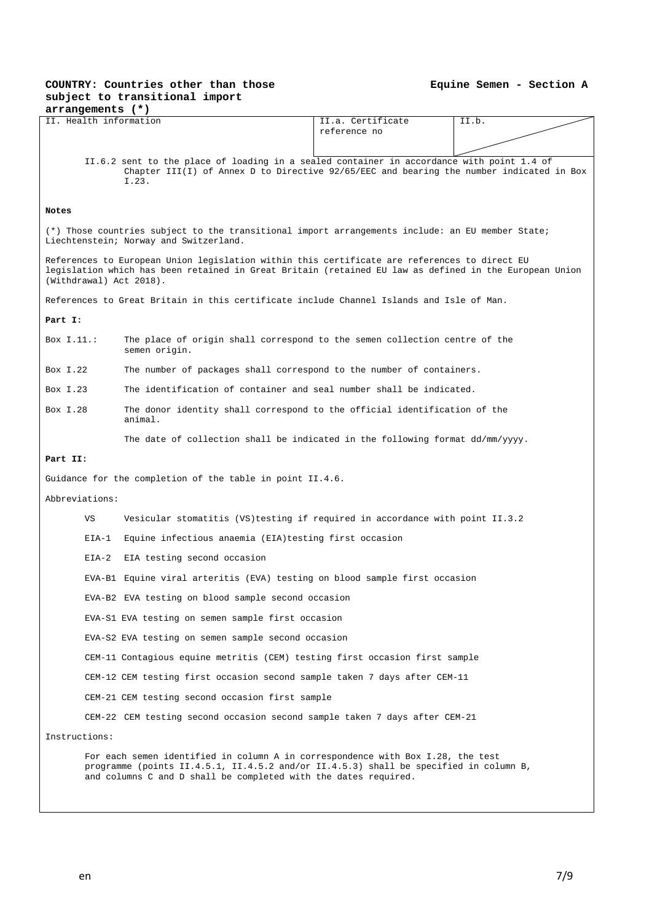| arrangements (*)                                                                                                                                                                                                                  |                                                                                                                                                                                                                                             |                   |       |  |  |  |  |  |
|-----------------------------------------------------------------------------------------------------------------------------------------------------------------------------------------------------------------------------------|---------------------------------------------------------------------------------------------------------------------------------------------------------------------------------------------------------------------------------------------|-------------------|-------|--|--|--|--|--|
| II. Health information                                                                                                                                                                                                            |                                                                                                                                                                                                                                             | II.a. Certificate | II.b. |  |  |  |  |  |
|                                                                                                                                                                                                                                   |                                                                                                                                                                                                                                             | reference no      |       |  |  |  |  |  |
|                                                                                                                                                                                                                                   |                                                                                                                                                                                                                                             |                   |       |  |  |  |  |  |
|                                                                                                                                                                                                                                   | II.6.2 sent to the place of loading in a sealed container in accordance with point 1.4 of<br>Chapter III(I) of Annex D to Directive $92/65/EEC$ and bearing the number indicated in Box<br>I.23.                                            |                   |       |  |  |  |  |  |
| Notes                                                                                                                                                                                                                             |                                                                                                                                                                                                                                             |                   |       |  |  |  |  |  |
| (*) Those countries subject to the transitional import arrangements include: an EU member State;<br>Liechtenstein; Norway and Switzerland.                                                                                        |                                                                                                                                                                                                                                             |                   |       |  |  |  |  |  |
| References to European Union legislation within this certificate are references to direct EU<br>legislation which has been retained in Great Britain (retained EU law as defined in the European Union<br>(Withdrawal) Act 2018). |                                                                                                                                                                                                                                             |                   |       |  |  |  |  |  |
|                                                                                                                                                                                                                                   | References to Great Britain in this certificate include Channel Islands and Isle of Man.                                                                                                                                                    |                   |       |  |  |  |  |  |
| Part I:                                                                                                                                                                                                                           |                                                                                                                                                                                                                                             |                   |       |  |  |  |  |  |
| Box $I.11$ .:                                                                                                                                                                                                                     | The place of origin shall correspond to the semen collection centre of the<br>semen origin.                                                                                                                                                 |                   |       |  |  |  |  |  |
| Box I.22                                                                                                                                                                                                                          | The number of packages shall correspond to the number of containers.                                                                                                                                                                        |                   |       |  |  |  |  |  |
| Box $I.23$                                                                                                                                                                                                                        | The identification of container and seal number shall be indicated.                                                                                                                                                                         |                   |       |  |  |  |  |  |
| Box I.28<br>The donor identity shall correspond to the official identification of the<br>animal.                                                                                                                                  |                                                                                                                                                                                                                                             |                   |       |  |  |  |  |  |
|                                                                                                                                                                                                                                   | The date of collection shall be indicated in the following format dd/mm/yyyy.                                                                                                                                                               |                   |       |  |  |  |  |  |
| Part II:                                                                                                                                                                                                                          |                                                                                                                                                                                                                                             |                   |       |  |  |  |  |  |
|                                                                                                                                                                                                                                   | Guidance for the completion of the table in point II.4.6.                                                                                                                                                                                   |                   |       |  |  |  |  |  |
| Abbreviations:                                                                                                                                                                                                                    |                                                                                                                                                                                                                                             |                   |       |  |  |  |  |  |
| VS                                                                                                                                                                                                                                | Vesicular stomatitis (VS) testing if required in accordance with point II.3.2                                                                                                                                                               |                   |       |  |  |  |  |  |
| $EIA-1$                                                                                                                                                                                                                           | Equine infectious anaemia (EIA) testing first occasion                                                                                                                                                                                      |                   |       |  |  |  |  |  |
| $EIA-2$                                                                                                                                                                                                                           | EIA testing second occasion                                                                                                                                                                                                                 |                   |       |  |  |  |  |  |
|                                                                                                                                                                                                                                   | EVA-B1 Equine viral arteritis (EVA) testing on blood sample first occasion                                                                                                                                                                  |                   |       |  |  |  |  |  |
|                                                                                                                                                                                                                                   | EVA-B2 EVA testing on blood sample second occasion                                                                                                                                                                                          |                   |       |  |  |  |  |  |
|                                                                                                                                                                                                                                   | EVA-S1 EVA testing on semen sample first occasion                                                                                                                                                                                           |                   |       |  |  |  |  |  |
|                                                                                                                                                                                                                                   | EVA-S2 EVA testing on semen sample second occasion                                                                                                                                                                                          |                   |       |  |  |  |  |  |
|                                                                                                                                                                                                                                   | CEM-11 Contagious equine metritis (CEM) testing first occasion first sample                                                                                                                                                                 |                   |       |  |  |  |  |  |
|                                                                                                                                                                                                                                   | CEM-12 CEM testing first occasion second sample taken 7 days after CEM-11                                                                                                                                                                   |                   |       |  |  |  |  |  |
|                                                                                                                                                                                                                                   | CEM-21 CEM testing second occasion first sample                                                                                                                                                                                             |                   |       |  |  |  |  |  |
|                                                                                                                                                                                                                                   | CEM-22 CEM testing second occasion second sample taken 7 days after CEM-21                                                                                                                                                                  |                   |       |  |  |  |  |  |
| Instructions:                                                                                                                                                                                                                     |                                                                                                                                                                                                                                             |                   |       |  |  |  |  |  |
|                                                                                                                                                                                                                                   | For each semen identified in column A in correspondence with Box I.28, the test<br>programme (points II.4.5.1, II.4.5.2 and/or II.4.5.3) shall be specified in column B,<br>and columns C and D shall be completed with the dates required. |                   |       |  |  |  |  |  |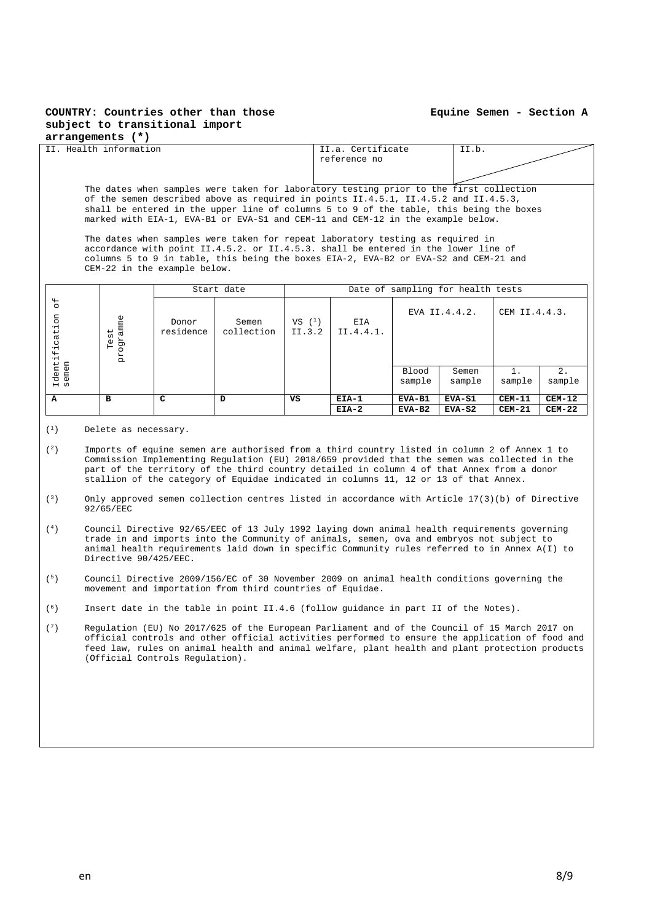#### **Equine Semen - Section A**

#### **arrangements (\*)**

| II. Health information                                                                                                                                                                                                                                                                                                                                      |                                                                                                                                                                                                                                                                                              |                    |                     |                      | II.a. Certificate<br>reference no |                                  | II.b.           |                 |              |
|-------------------------------------------------------------------------------------------------------------------------------------------------------------------------------------------------------------------------------------------------------------------------------------------------------------------------------------------------------------|----------------------------------------------------------------------------------------------------------------------------------------------------------------------------------------------------------------------------------------------------------------------------------------------|--------------------|---------------------|----------------------|-----------------------------------|----------------------------------|-----------------|-----------------|--------------|
|                                                                                                                                                                                                                                                                                                                                                             |                                                                                                                                                                                                                                                                                              |                    |                     |                      |                                   |                                  |                 |                 |              |
| The dates when samples were taken for laboratory testing prior to the first collection<br>of the semen described above as required in points II.4.5.1, II.4.5.2 and II.4.5.3,<br>shall be entered in the upper line of columns 5 to 9 of the table, this being the boxes<br>marked with EIA-1, EVA-B1 or EVA-S1 and CEM-11 and CEM-12 in the example below. |                                                                                                                                                                                                                                                                                              |                    |                     |                      |                                   |                                  |                 |                 |              |
|                                                                                                                                                                                                                                                                                                                                                             | The dates when samples were taken for repeat laboratory testing as required in<br>accordance with point II.4.5.2. or II.4.5.3. shall be entered in the lower line of<br>columns 5 to 9 in table, this being the boxes EIA-2, EVA-B2 or EVA-S2 and CEM-21 and<br>CEM-22 in the example below. |                    |                     |                      |                                   |                                  |                 |                 |              |
|                                                                                                                                                                                                                                                                                                                                                             | Date of sampling for health tests<br>Start date                                                                                                                                                                                                                                              |                    |                     |                      |                                   |                                  |                 |                 |              |
| $\sigma$ f<br>Identification<br>semen                                                                                                                                                                                                                                                                                                                       | programme<br>$Test$                                                                                                                                                                                                                                                                          | Donor<br>residence | Semen<br>collection | $VS$ $(1)$<br>II.3.2 | EIA<br>II.4.4.1.                  | EVA $II.4.4.2.$<br>CEM II.4.4.3. |                 |                 |              |
|                                                                                                                                                                                                                                                                                                                                                             |                                                                                                                                                                                                                                                                                              |                    |                     |                      |                                   | <b>Blood</b><br>sample           | Semen<br>sample | $1$ .<br>sample | 2.<br>sample |
| $\mathbf{A}$                                                                                                                                                                                                                                                                                                                                                | в                                                                                                                                                                                                                                                                                            | C                  | D                   | vs                   | $EIA-1$                           | EVA-B1                           | $EVA-S1$        | $CEM-11$        | $CEM-12$     |
|                                                                                                                                                                                                                                                                                                                                                             |                                                                                                                                                                                                                                                                                              |                    |                     |                      | $EIA-2$                           | EVA-B2                           | $EVA-S2$        | $CEM-21$        | $CEM-22$     |

- $(1)$  Delete as necessary.
- (2) Imports of equine semen are authorised from a third country listed in column 2 of Annex 1 to Commission Implementing Regulation (EU) 2018/659 provided that the semen was collected in the part of the territory of the third country detailed in column 4 of that Annex from a donor stallion of the category of Equidae indicated in columns 11, 12 or 13 of that Annex.
- (3) Only approved semen collection centres listed in accordance with Article 17(3)(b) of Directive 92/65/EEC
- (4) Council Directive 92/65/EEC of 13 July 1992 laying down animal health requirements governing trade in and imports into the Community of animals, semen, ova and embryos not subject to animal health requirements laid down in specific Community rules referred to in Annex A(I) to Directive 90/425/EEC.
- (5) Council Directive 2009/156/EC of 30 November 2009 on animal health conditions governing the movement and importation from third countries of Equidae.
- (6) Insert date in the table in point II.4.6 (follow guidance in part II of the Notes).
- (7) Regulation (EU) No 2017/625 of the European Parliament and of the Council of 15 March 2017 on official controls and other official activities performed to ensure the application of food and feed law, rules on animal health and animal welfare, plant health and plant protection products (Official Controls Regulation).